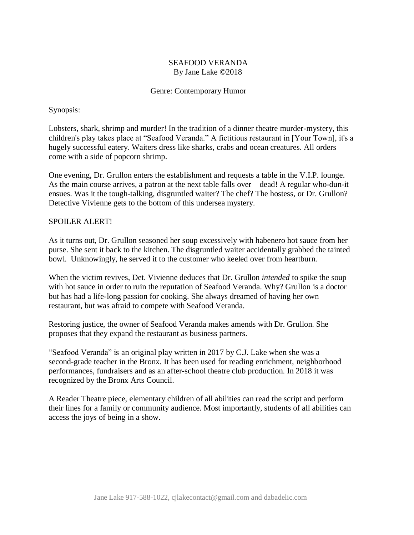# SEAFOOD VERANDA By Jane Lake ©2018

## Genre: Contemporary Humor

# Synopsis:

Lobsters, shark, shrimp and murder! In the tradition of a dinner theatre murder-mystery, this children's play takes place at "Seafood Veranda." A fictitious restaurant in [Your Town], it's a hugely successful eatery. Waiters dress like sharks, crabs and ocean creatures. All orders come with a side of popcorn shrimp.

One evening, Dr. Grullon enters the establishment and requests a table in the V.I.P. lounge. As the main course arrives, a patron at the next table falls over – dead! A regular who-dun-it ensues. Was it the tough-talking, disgruntled waiter? The chef? The hostess, or Dr. Grullon? Detective Vivienne gets to the bottom of this undersea mystery.

# SPOILER ALERT!

As it turns out, Dr. Grullon seasoned her soup excessively with habenero hot sauce from her purse. She sent it back to the kitchen. The disgruntled waiter accidentally grabbed the tainted bowl. Unknowingly, he served it to the customer who keeled over from heartburn.

When the victim revives, Det. Vivienne deduces that Dr. Grullon *intended* to spike the soup with hot sauce in order to ruin the reputation of Seafood Veranda. Why? Grullon is a doctor but has had a life-long passion for cooking. She always dreamed of having her own restaurant, but was afraid to compete with Seafood Veranda.

Restoring justice, the owner of Seafood Veranda makes amends with Dr. Grullon. She proposes that they expand the restaurant as business partners.

"Seafood Veranda" is an original play written in 2017 by C.J. Lake when she was a second-grade teacher in the Bronx. It has been used for reading enrichment, neighborhood performances, fundraisers and as an after-school theatre club production. In 2018 it was recognized by the Bronx Arts Council.

A Reader Theatre piece, elementary children of all abilities can read the script and perform their lines for a family or community audience. Most importantly, students of all abilities can access the joys of being in a show.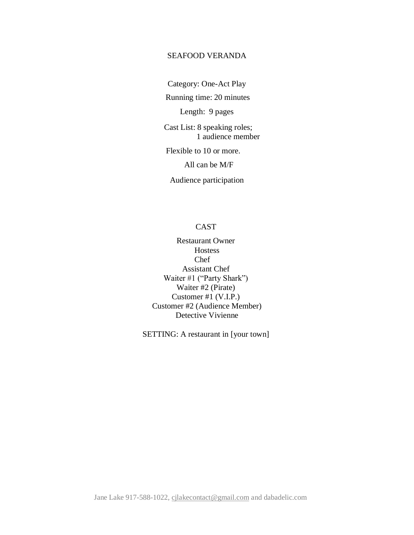## SEAFOOD VERANDA

Category: One-Act Play

Running time: 20 minutes

Length: 9 pages

Cast List: 8 speaking roles; 1 audience member

Flexible to 10 or more.

All can be M/F

Audience participation

# CAST

Restaurant Owner **Hostess** Chef Assistant Chef Waiter #1 ("Party Shark") Waiter #2 (Pirate) Customer #1 (V.I.P.) Customer #2 (Audience Member) Detective Vivienne

SETTING: A restaurant in [your town]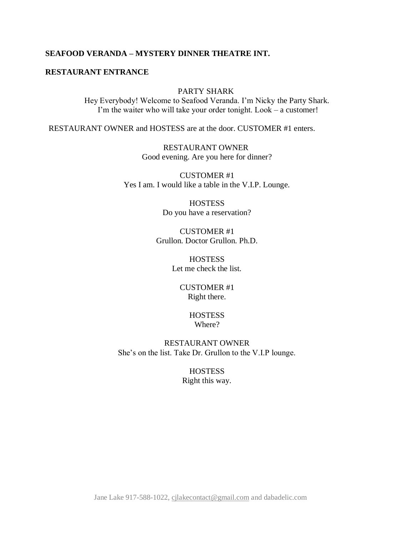# **SEAFOOD VERANDA – MYSTERY DINNER THEATRE INT.**

#### **RESTAURANT ENTRANCE**

## PARTY SHARK

Hey Everybody! Welcome to Seafood Veranda. I'm Nicky the Party Shark. I'm the waiter who will take your order tonight. Look – a customer!

RESTAURANT OWNER and HOSTESS are at the door. CUSTOMER #1 enters.

RESTAURANT OWNER Good evening. Are you here for dinner?

CUSTOMER #1 Yes I am. I would like a table in the V.I.P. Lounge.

> **HOSTESS** Do you have a reservation?

CUSTOMER #1 Grullon. Doctor Grullon. Ph.D.

> **HOSTESS** Let me check the list.

> > CUSTOMER #1 Right there.

#### **HOSTESS** Where?

RESTAURANT OWNER She's on the list. Take Dr. Grullon to the V.I.P lounge.

> **HOSTESS** Right this way.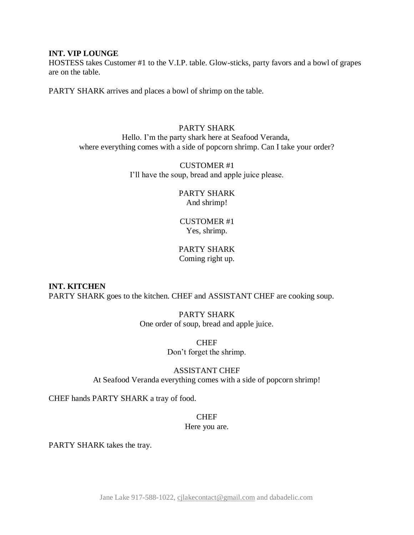#### **INT. VIP LOUNGE**

HOSTESS takes Customer #1 to the V.I.P. table. Glow-sticks, party favors and a bowl of grapes are on the table.

PARTY SHARK arrives and places a bowl of shrimp on the table.

# PARTY SHARK Hello. I'm the party shark here at Seafood Veranda, where everything comes with a side of popcorn shrimp. Can I take your order?

CUSTOMER #1 I'll have the soup, bread and apple juice please.

#### PARTY SHARK And shrimp!

# CUSTOMER #1 Yes, shrimp.

# PARTY SHARK Coming right up.

**INT. KITCHEN** PARTY SHARK goes to the kitchen. CHEF and ASSISTANT CHEF are cooking soup.

# PARTY SHARK One order of soup, bread and apple juice.

CHEF Don't forget the shrimp.

#### ASSISTANT CHEF At Seafood Veranda everything comes with a side of popcorn shrimp!

CHEF hands PARTY SHARK a tray of food.

# **CHEF**

#### Here you are.

PARTY SHARK takes the tray.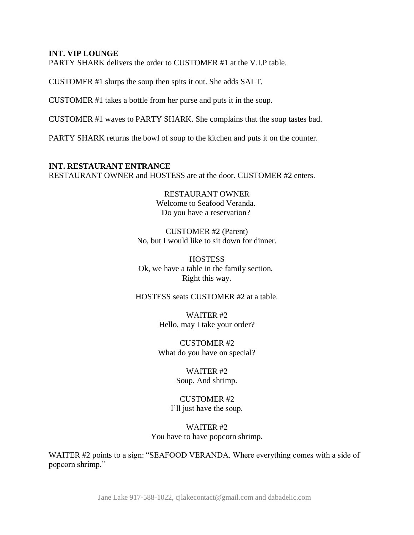#### **INT. VIP LOUNGE**

PARTY SHARK delivers the order to CUSTOMER #1 at the V.I.P table.

CUSTOMER #1 slurps the soup then spits it out. She adds SALT.

CUSTOMER #1 takes a bottle from her purse and puts it in the soup.

CUSTOMER #1 waves to PARTY SHARK. She complains that the soup tastes bad.

PARTY SHARK returns the bowl of soup to the kitchen and puts it on the counter.

**INT. RESTAURANT ENTRANCE** RESTAURANT OWNER and HOSTESS are at the door. CUSTOMER #2 enters.

> RESTAURANT OWNER Welcome to Seafood Veranda. Do you have a reservation?

CUSTOMER #2 (Parent) No, but I would like to sit down for dinner.

**HOSTESS** Ok, we have a table in the family section. Right this way.

HOSTESS seats CUSTOMER #2 at a table.

WAITER #2 Hello, may I take your order?

CUSTOMER #2 What do you have on special?

> WAITER #2 Soup. And shrimp.

CUSTOMER #2 I'll just have the soup.

WAITER #2 You have to have popcorn shrimp.

WAITER #2 points to a sign: "SEAFOOD VERANDA. Where everything comes with a side of popcorn shrimp."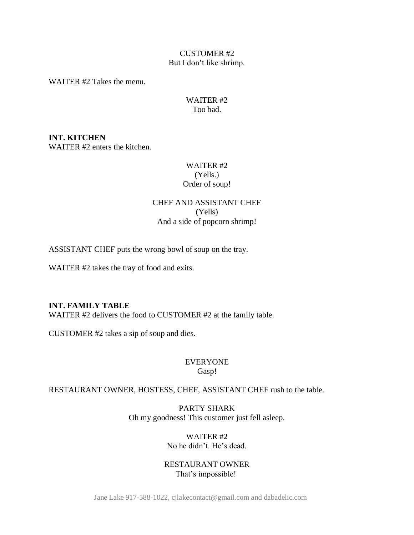## CUSTOMER #2 But I don't like shrimp.

WAITER #2 Takes the menu.

# WAITER #2 Too bad.

**INT. KITCHEN** WAITER #2 enters the kitchen.

# WAITER #2 (Yells.) Order of soup!

# CHEF AND ASSISTANT CHEF (Yells) And a side of popcorn shrimp!

ASSISTANT CHEF puts the wrong bowl of soup on the tray.

WAITER #2 takes the tray of food and exits.

### **INT. FAMILY TABLE**

WAITER #2 delivers the food to CUSTOMER #2 at the family table.

CUSTOMER #2 takes a sip of soup and dies.

# EVERYONE Gasp!

# RESTAURANT OWNER, HOSTESS, CHEF, ASSISTANT CHEF rush to the table.

PARTY SHARK Oh my goodness! This customer just fell asleep.

# WAITER #2 No he didn't. He's dead.

RESTAURANT OWNER That's impossible!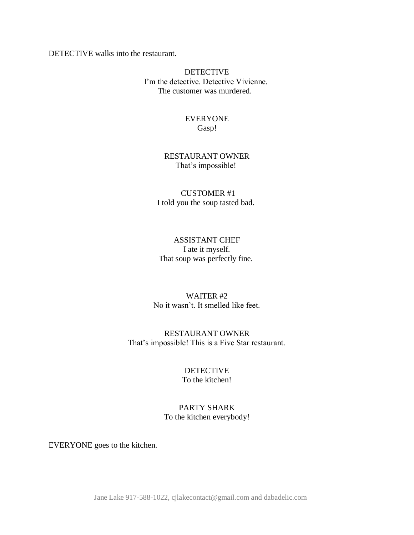DETECTIVE walks into the restaurant.

DETECTIVE I'm the detective. Detective Vivienne. The customer was murdered.

## EVERYONE Gasp!

# RESTAURANT OWNER That's impossible!

# CUSTOMER #1 I told you the soup tasted bad.

# ASSISTANT CHEF I ate it myself. That soup was perfectly fine.

## WAITER #2 No it wasn't. It smelled like feet.

# RESTAURANT OWNER That's impossible! This is a Five Star restaurant.

#### DETECTIVE To the kitchen!

# PARTY SHARK To the kitchen everybody!

EVERYONE goes to the kitchen.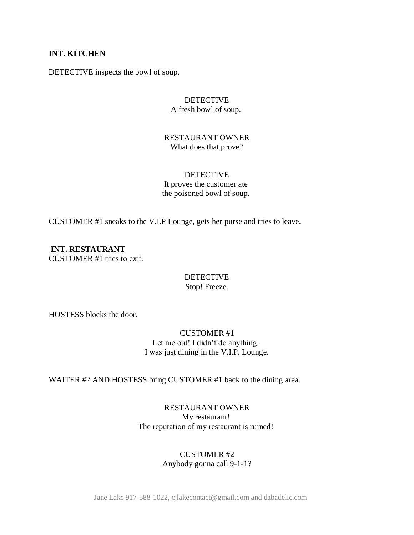## **INT. KITCHEN**

DETECTIVE inspects the bowl of soup.

## DETECTIVE A fresh bowl of soup.

#### RESTAURANT OWNER What does that prove?

## DETECTIVE It proves the customer ate the poisoned bowl of soup.

CUSTOMER #1 sneaks to the V.I.P Lounge, gets her purse and tries to leave.

**INT. RESTAURANT** CUSTOMER #1 tries to exit.

## **DETECTIVE** Stop! Freeze.

HOSTESS blocks the door.

# CUSTOMER #1 Let me out! I didn't do anything. I was just dining in the V.I.P. Lounge.

WAITER #2 AND HOSTESS bring CUSTOMER #1 back to the dining area.

# RESTAURANT OWNER My restaurant! The reputation of my restaurant is ruined!

# CUSTOMER #2 Anybody gonna call 9-1-1?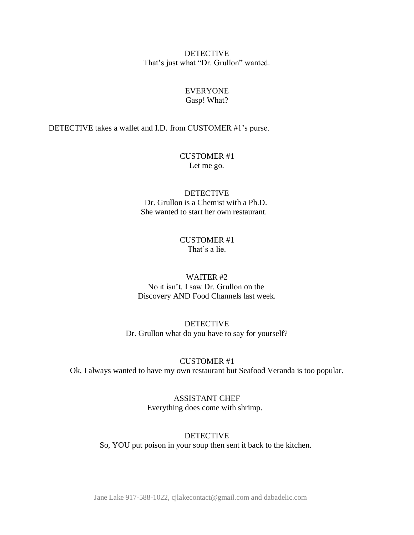DETECTIVE That's just what "Dr. Grullon" wanted.

#### EVERYONE Gasp! What?

#### DETECTIVE takes a wallet and I.D. from CUSTOMER #1's purse.

### CUSTOMER #1 Let me go.

# DETECTIVE Dr. Grullon is a Chemist with a Ph.D. She wanted to start her own restaurant.

#### CUSTOMER #1 That's a lie.

# WAITER #2 No it isn't. I saw Dr. Grullon on the Discovery AND Food Channels last week.

DETECTIVE Dr. Grullon what do you have to say for yourself?

#### CUSTOMER #1

Ok, I always wanted to have my own restaurant but Seafood Veranda is too popular.

ASSISTANT CHEF Everything does come with shrimp.

#### DETECTIVE So, YOU put poison in your soup then sent it back to the kitchen.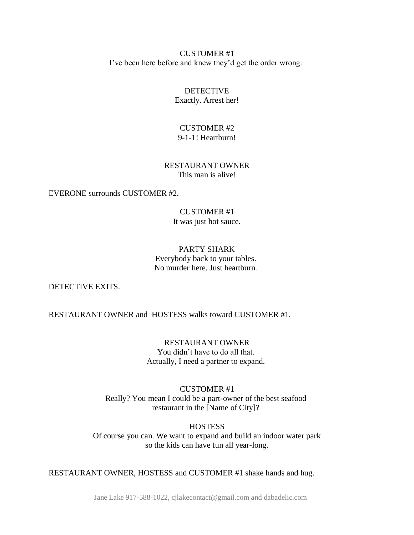CUSTOMER #1 I've been here before and knew they'd get the order wrong.

> **DETECTIVE** Exactly. Arrest her!

# CUSTOMER #2 9-1-1! Heartburn!

## RESTAURANT OWNER This man is alive!

EVERONE surrounds CUSTOMER #2.

#### CUSTOMER #1 It was just hot sauce.

# PARTY SHARK Everybody back to your tables. No murder here. Just heartburn.

DETECTIVE EXITS.

RESTAURANT OWNER and HOSTESS walks toward CUSTOMER #1.

RESTAURANT OWNER You didn't have to do all that. Actually, I need a partner to expand.

CUSTOMER #1 Really? You mean I could be a part-owner of the best seafood restaurant in the [Name of City]?

**HOSTESS** Of course you can. We want to expand and build an indoor water park so the kids can have fun all year-long.

RESTAURANT OWNER, HOSTESS and CUSTOMER #1 shake hands and hug.